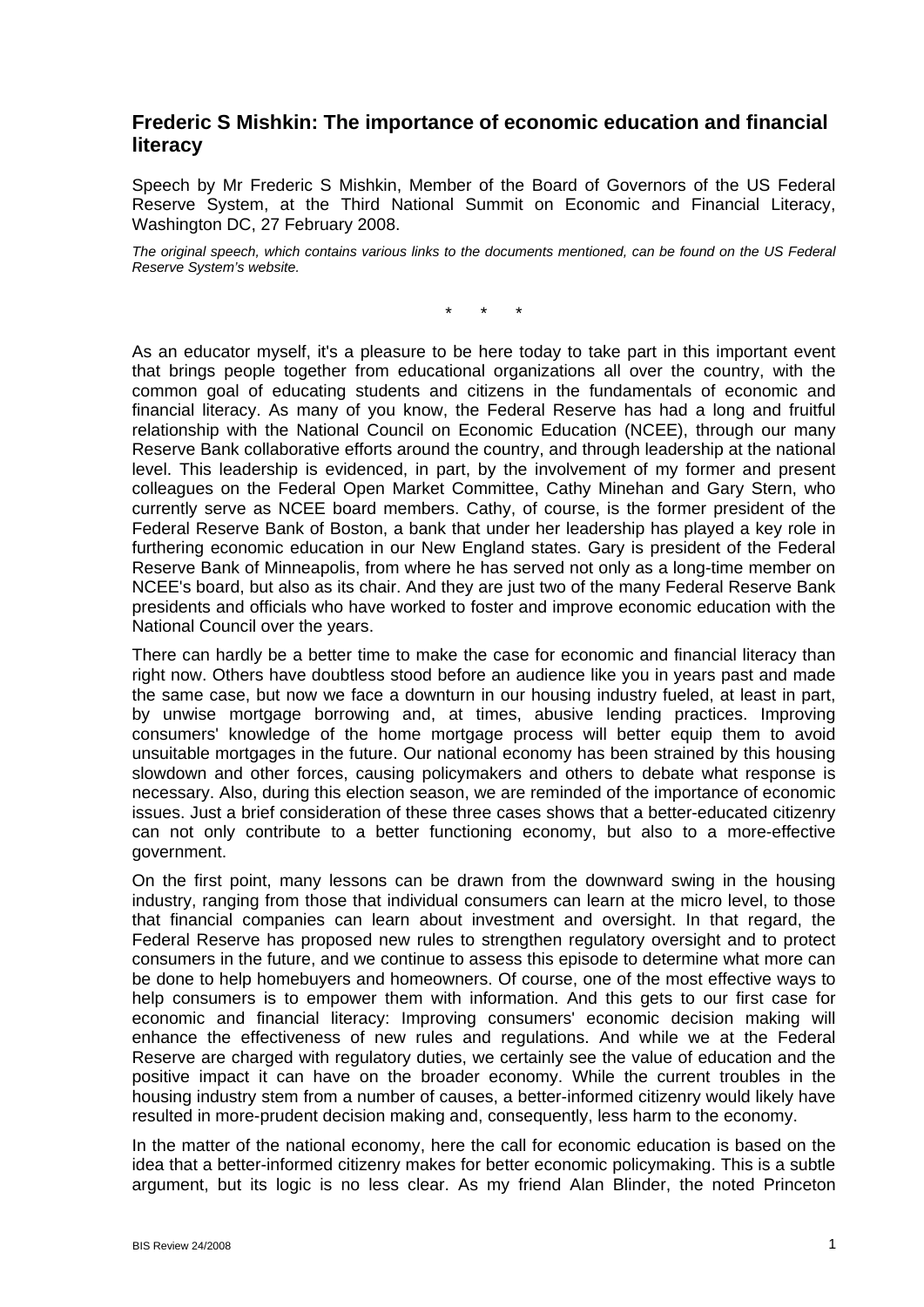## **Frederic S Mishkin: The importance of economic education and financial literacy**

Speech by Mr Frederic S Mishkin, Member of the Board of Governors of the US Federal Reserve System, at the Third National Summit on Economic and Financial Literacy, Washington DC, 27 February 2008.

*The original speech, which contains various links to the documents mentioned, can be found on the US Federal Reserve System's website.* 

\* \* \*

As an educator myself, it's a pleasure to be here today to take part in this important event that brings people together from educational organizations all over the country, with the common goal of educating students and citizens in the fundamentals of economic and financial literacy. As many of you know, the Federal Reserve has had a long and fruitful relationship with the National Council on Economic Education (NCEE), through our many Reserve Bank collaborative efforts around the country, and through leadership at the national level. This leadership is evidenced, in part, by the involvement of my former and present colleagues on the Federal Open Market Committee, Cathy Minehan and Gary Stern, who currently serve as NCEE board members. Cathy, of course, is the former president of the Federal Reserve Bank of Boston, a bank that under her leadership has played a key role in furthering economic education in our New England states. Gary is president of the Federal Reserve Bank of Minneapolis, from where he has served not only as a long-time member on NCEE's board, but also as its chair. And they are just two of the many Federal Reserve Bank presidents and officials who have worked to foster and improve economic education with the National Council over the years.

There can hardly be a better time to make the case for economic and financial literacy than right now. Others have doubtless stood before an audience like you in years past and made the same case, but now we face a downturn in our housing industry fueled, at least in part, by unwise mortgage borrowing and, at times, abusive lending practices. Improving consumers' knowledge of the home mortgage process will better equip them to avoid unsuitable mortgages in the future. Our national economy has been strained by this housing slowdown and other forces, causing policymakers and others to debate what response is necessary. Also, during this election season, we are reminded of the importance of economic issues. Just a brief consideration of these three cases shows that a better-educated citizenry can not only contribute to a better functioning economy, but also to a more-effective government.

On the first point, many lessons can be drawn from the downward swing in the housing industry, ranging from those that individual consumers can learn at the micro level, to those that financial companies can learn about investment and oversight. In that regard, the Federal Reserve has proposed new rules to strengthen regulatory oversight and to protect consumers in the future, and we continue to assess this episode to determine what more can be done to help homebuyers and homeowners. Of course, one of the most effective ways to help consumers is to empower them with information. And this gets to our first case for economic and financial literacy: Improving consumers' economic decision making will enhance the effectiveness of new rules and regulations. And while we at the Federal Reserve are charged with regulatory duties, we certainly see the value of education and the positive impact it can have on the broader economy. While the current troubles in the housing industry stem from a number of causes, a better-informed citizenry would likely have resulted in more-prudent decision making and, consequently, less harm to the economy.

In the matter of the national economy, here the call for economic education is based on the idea that a better-informed citizenry makes for better economic policymaking. This is a subtle argument, but its logic is no less clear. As my friend Alan Blinder, the noted Princeton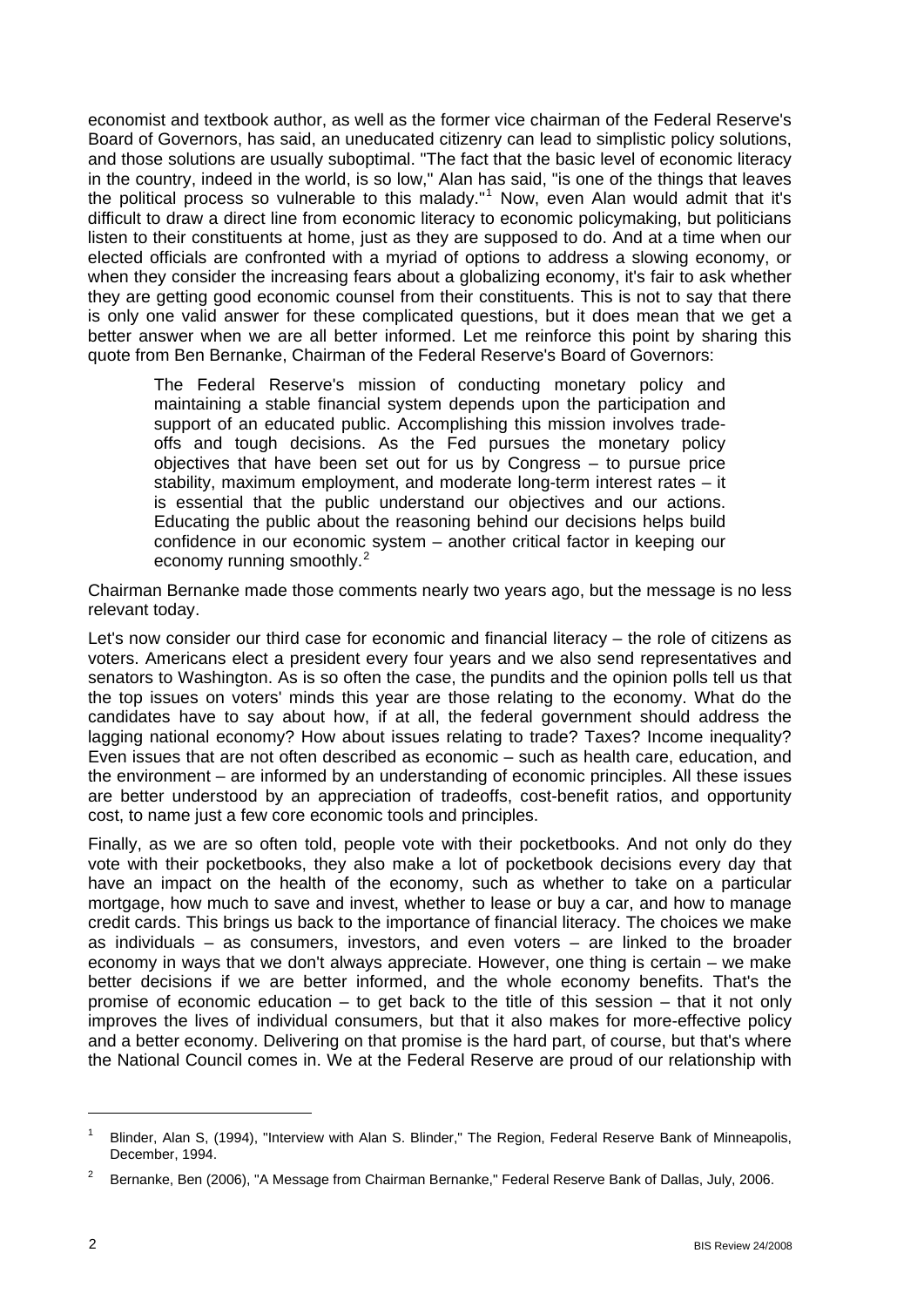economist and textbook author, as well as the former vice chairman of the Federal Reserve's Board of Governors, has said, an uneducated citizenry can lead to simplistic policy solutions, and those solutions are usually suboptimal. "The fact that the basic level of economic literacy in the country, indeed in the world, is so low," Alan has said, "is one of the things that leaves the political process so vulnerable to this malady."<sup>[1](#page-1-0)</sup> Now, even Alan would admit that it's difficult to draw a direct line from economic literacy to economic policymaking, but politicians listen to their constituents at home, just as they are supposed to do. And at a time when our elected officials are confronted with a myriad of options to address a slowing economy, or when they consider the increasing fears about a globalizing economy, it's fair to ask whether they are getting good economic counsel from their constituents. This is not to say that there is only one valid answer for these complicated questions, but it does mean that we get a better answer when we are all better informed. Let me reinforce this point by sharing this quote from Ben Bernanke, Chairman of the Federal Reserve's Board of Governors:

The Federal Reserve's mission of conducting monetary policy and maintaining a stable financial system depends upon the participation and support of an educated public. Accomplishing this mission involves tradeoffs and tough decisions. As the Fed pursues the monetary policy objectives that have been set out for us by Congress – to pursue price stability, maximum employment, and moderate long-term interest rates – it is essential that the public understand our objectives and our actions. Educating the public about the reasoning behind our decisions helps build confidence in our economic system – another critical factor in keeping our economy running smoothly.<sup>[2](#page-1-1)</sup>

Chairman Bernanke made those comments nearly two years ago, but the message is no less relevant today.

Let's now consider our third case for economic and financial literacy – the role of citizens as voters. Americans elect a president every four years and we also send representatives and senators to Washington. As is so often the case, the pundits and the opinion polls tell us that the top issues on voters' minds this year are those relating to the economy. What do the candidates have to say about how, if at all, the federal government should address the lagging national economy? How about issues relating to trade? Taxes? Income inequality? Even issues that are not often described as economic – such as health care, education, and the environment – are informed by an understanding of economic principles. All these issues are better understood by an appreciation of tradeoffs, cost-benefit ratios, and opportunity cost, to name just a few core economic tools and principles.

Finally, as we are so often told, people vote with their pocketbooks. And not only do they vote with their pocketbooks, they also make a lot of pocketbook decisions every day that have an impact on the health of the economy, such as whether to take on a particular mortgage, how much to save and invest, whether to lease or buy a car, and how to manage credit cards. This brings us back to the importance of financial literacy. The choices we make as individuals – as consumers, investors, and even voters – are linked to the broader economy in ways that we don't always appreciate. However, one thing is certain – we make better decisions if we are better informed, and the whole economy benefits. That's the promise of economic education – to get back to the title of this session – that it not only improves the lives of individual consumers, but that it also makes for more-effective policy and a better economy. Delivering on that promise is the hard part, of course, but that's where the National Council comes in. We at the Federal Reserve are proud of our relationship with

<span id="page-1-0"></span><sup>1</sup> Blinder, Alan S, (1994), "Interview with Alan S. Blinder," The Region, Federal Reserve Bank of Minneapolis, December, 1994.

<span id="page-1-1"></span><sup>2</sup> Bernanke, Ben (2006), "A Message from Chairman Bernanke," Federal Reserve Bank of Dallas, July, 2006.